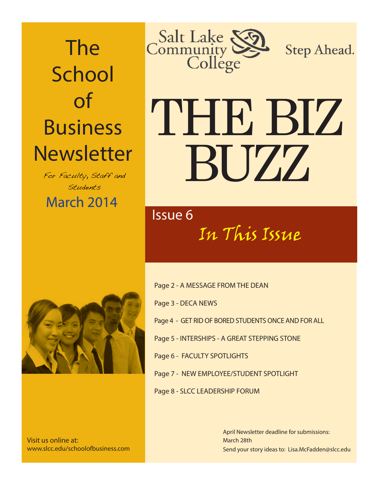The **School** of Business **Newsletter** 

March 2014 For Faculty, Staff and Students



Step Ahead.

# THE BIZ BUZZ

## In This Issue Issue 6



Visit us online at: www.slcc.edu/schoolofbusiness.com Page 2 - A MESSAGE FROM THE DEAN

Page 3 - DECA NEWS

Page 4 - GET RID OF BORED STUDENTS ONCE AND FOR ALL

Page 5 - INTERSHIPS - A GREAT STEPPING STONE

Page 6 - FACULTY SPOTLIGHTS

Page 7 - NEW EMPLOYEE/STUDENT SPOTLIGHT

Page 8 - SLCC LEADERSHIP FORUM

Send your story ideas to: Lisa.McFadden@slcc.edu April Newsletter deadline for submissions: March 28th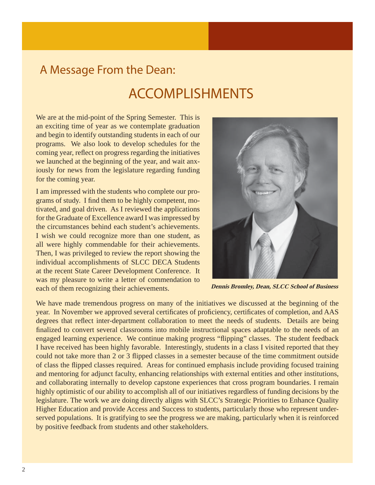### A Message From the Dean:

## ACCOMPLISHMENTS

We are at the mid-point of the Spring Semester. This is an exciting time of year as we contemplate graduation and begin to identify outstanding students in each of our programs. We also look to develop schedules for the coming year, reflect on progress regarding the initiatives we launched at the beginning of the year, and wait anxiously for news from the legislature regarding funding for the coming year.

I am impressed with the students who complete our programs of study. I find them to be highly competent, motivated, and goal driven. As I reviewed the applications for the Graduate of Excellence award I was impressed by the circumstances behind each student's achievements. I wish we could recognize more than one student, as all were highly commendable for their achievements. Then, I was privileged to review the report showing the individual accomplishments of SLCC DECA Students at the recent State Career Development Conference. It was my pleasure to write a letter of commendation to each of them recognizing their achievements.



 **Dennis Bromley, Dean, SLCC School of Business**

We have made tremendous progress on many of the initiatives we discussed at the beginning of the year. In November we approved several certificates of proficiency, certificates of completion, and AAS degrees that reflect inter-department collaboration to meet the needs of students. Details are being finalized to convert several classrooms into mobile instructional spaces adaptable to the needs of an engaged learning experience. We continue making progress "flipping" classes. The student feedback I have received has been highly favorable. Interestingly, students in a class I visited reported that they could not take more than 2 or 3 flipped classes in a semester because of the time commitment outside of class the flipped classes required. Areas for continued emphasis include providing focused training and mentoring for adjunct faculty, enhancing relationships with external entities and other institutions, and collaborating internally to develop capstone experiences that cross program boundaries. I remain highly optimistic of our ability to accomplish all of our initiatives regardless of funding decisions by the legislature. The work we are doing directly aligns with SLCC's Strategic Priorities to Enhance Quality Higher Education and provide Access and Success to students, particularly those who represent underserved populations. It is gratifying to see the progress we are making, particularly when it is reinforced by positive feedback from students and other stakeholders.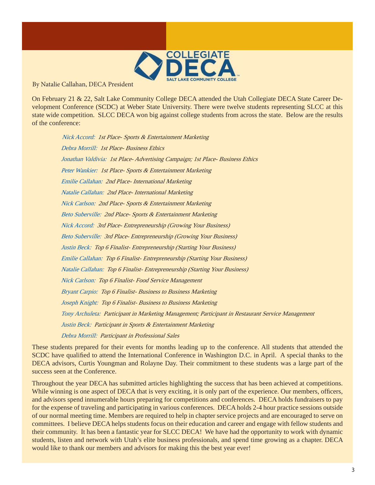

By Natalie Callahan, DECA President

On February 21 & 22, Salt Lake Community College DECA attended the Utah Collegiate DECA State Career Development Conference (SCDC) at Weber State University. There were twelve students representing SLCC at this state wide competition. SLCC DECA won big against college students from across the state. Below are the results of the conference:

 Nick Accord: 1st Place- Sports & Entertainment Marketing Debra Morrill: 1st Place- Business Ethics Jonathan Valdivia: 1st Place- Advertising Campaign; 1st Place- Business Ethics Peter Wankier: 1st Place- Sports & Entertainment Marketing Emilie Callahan: 2nd Place- International Marketing Natalie Callahan: 2nd Place- International Marketing Nick Carlson: 2nd Place- Sports & Entertainment Marketing Beto Suberville: 2nd Place- Sports & Entertainment Marketing Nick Accord: 3rd Place- Entrepreneurship (Growing Your Business) Beto Suberville: 3rd Place- Entrepreneurship (Growing Your Business) Justin Beck: Top 6 Finalist- Entrepreneurship (Starting Your Business) Emilie Callahan: Top 6 Finalist- Entrepreneurship (Starting Your Business) Natalie Callahan: Top 6 Finalist- Entrepreneurship (Starting Your Business) Nick Carlson: Top 6 Finalist- Food Service Management Bryant Carpio: Top 6 Finalist- Business to Business Marketing Joseph Knight: Top 6 Finalist- Business to Business Marketing Tony Archuleta: Participant in Marketing Management; Participant in Restaurant Service Management Justin Beck: Participant in Sports & Entertainment Marketing Debra Morrill: Participant in Professional Sales

These students prepared for their events for months leading up to the conference. All students that attended the SCDC have qualified to attend the International Conference in Washington D.C. in April. A special thanks to the DECA advisors, Curtis Youngman and Rolayne Day. Their commitment to these students was a large part of the success seen at the Conference.

Throughout the year DECA has submitted articles highlighting the success that has been achieved at competitions. While winning is one aspect of DECA that is very exciting, it is only part of the experience. Our members, officers, and advisors spend innumerable hours preparing for competitions and conferences. DECA holds fundraisers to pay for the expense of traveling and participating in various conferences. DECA holds 2-4 hour practice sessions outside of our normal meeting time. Members are required to help in chapter service projects and are encouraged to serve on committees. I believe DECA helps students focus on their education and career and engage with fellow students and their community. It has been a fantastic year for SLCC DECA! We have had the opportunity to work with dynamic students, listen and network with Utah's elite business professionals, and spend time growing as a chapter. DECA would like to thank our members and advisors for making this the best year ever!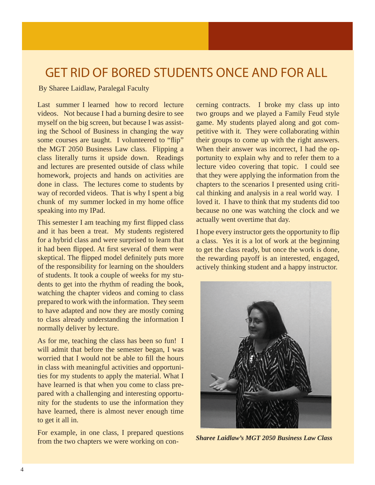## GET RID OF BORED STUDENTS ONCE AND FOR ALL

By Sharee Laidlaw, Paralegal Faculty

Last summer I learned how to record lecture videos. Not because I had a burning desire to see myself on the big screen, but because I was assisting the School of Business in changing the way some courses are taught. I volunteered to "flip" the MGT 2050 Business Law class. Flipping a class literally turns it upside down. Readings and lectures are presented outside of class while homework, projects and hands on activities are done in class. The lectures come to students by way of recorded videos. That is why I spent a big chunk of my summer locked in my home office speaking into my IPad.

This semester I am teaching my first flipped class and it has been a treat. My students registered for a hybrid class and were surprised to learn that it had been flipped. At first several of them were skeptical. The flipped model definitely puts more of the responsibility for learning on the shoulders of students. It took a couple of weeks for my students to get into the rhythm of reading the book, watching the chapter videos and coming to class prepared to work with the information. They seem to have adapted and now they are mostly coming to class already understanding the information I normally deliver by lecture.

As for me, teaching the class has been so fun! I will admit that before the semester began, I was worried that I would not be able to fill the hours in class with meaningful activities and opportunities for my students to apply the material. What I have learned is that when you come to class prepared with a challenging and interesting opportunity for the students to use the information they have learned, there is almost never enough time to get it all in.

For example, in one class, I prepared questions from the two chapters we were working on concerning contracts. I broke my class up into two groups and we played a Family Feud style game. My students played along and got competitive with it. They were collaborating within their groups to come up with the right answers. When their answer was incorrect, I had the opportunity to explain why and to refer them to a lecture video covering that topic. I could see that they were applying the information from the chapters to the scenarios I presented using critical thinking and analysis in a real world way. I loved it. I have to think that my students did too because no one was watching the clock and we actually went overtime that day.

I hope every instructor gets the opportunity to flip a class. Yes it is a lot of work at the beginning to get the class ready, but once the work is done, the rewarding payoff is an interested, engaged, actively thinking student and a happy instructor.



 *Sharee Laidlaw's MGT 2050 Business Law Class*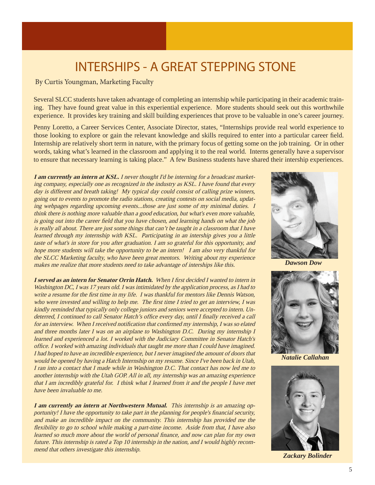## INTERSHIPS - A GREAT STEPPING STONE

#### By Curtis Youngman, Marketing Faculty

Several SLCC students have taken advantage of completing an internship while participating in their academic training. They have found great value in this experiential experience. More students should seek out this worthwhile experience. It provides key training and skill building experiences that prove to be valuable in one's career journey.

Penny Loretto, a Career Services Center, Associate Director, states, "Internships provide real world experience to those looking to explore or gain the relevant knowledge and skills required to enter into a particular career field. Internship are relatively short term in nature, with the primary focus of getting some on the job training. Or in other words, taking what's learned in the classroom and applying it to the real world. Interns generally have a supervisor to ensure that necessary learning is taking place." A few Business students have shared their intership experiences.

**I am currently an intern at KSL.** I never thought I'd be interning for a broadcast marketing company, especially one as recognized in the industry as KSL. I have found that every day is different and breath taking! My typical day could consist of calling prize winners, going out to events to promote the radio stations, creating contests on social media, updating webpages regarding upcoming events...those are just some of my minimal duties. I think there is nothing more valuable than a good education, but what's even more valuable, is going out into the career field that you have chosen, and learning hands on what the job is really all about. There are just some things that can't be taught in a classroom that I have learned through my internship with KSL. Participating in an intership gives you a little taste of what's in store for you after graduation. I am so grateful for this opportunity, and hope more students will take the opportunity to be an intern! I am also very thankful for the SLCC Marketing faculty, who have been great mentors. Writing about my experience makes me realize that more students need to take advantage of interships like this.

**I served as an intern for Senator Orrin Hatch.** When I first decided I wanted to intern in Washington DC, I was 17 years old. I was intimidated by the application process, as I had to write a resume for the first time in my life. I was thankful for mentors like Dennis Watson, who were invested and willing to help me. The first time I tried to get an interview, I was kindly reminded that typically only college juniors and seniors were accepted to intern. Undeterred, I continued to call Senator Hatch's office every day, until I finally received a call for an interview. When I received notification that confirmed my internship, I was so elated and three months later I was on an airplane to Washington D.C. During my internship I learned and experienced a lot. I worked with the Judiciary Committee in Senator Hatch's office. I worked with amazing individuals that taught me more than I could have imagined. I had hoped to have an incredible experience, but I never imagined the amount of doors that would be opened by having a Hatch Internship on my resume. Since I've been back in Utah, I ran into a contact that I made while in Washington D.C. That contact has now led me to another internship with the Utah GOP. All in all, my internship was an amazing experience that I am incredibly grateful for. I think what I learned from it and the people I have met have been invaluable to me.

**I am currently an intern at Northwestern Mutual.** This internship is an amazing opportunity! I have the opportunity to take part in the planning for people's financial security, and make an incredible impact on the community. This internship has provided me the flexibility to go to school while making a part-time income. Aside from that, I have also learned so much more about the world of personal finance, and now can plan for my own future. This internship is rated a Top 10 internship in the nation, and I would highly recommend that others investigate this internship.



 *Dawson Dow*



 *Natalie Callahan*



 *Zackary Bolinder*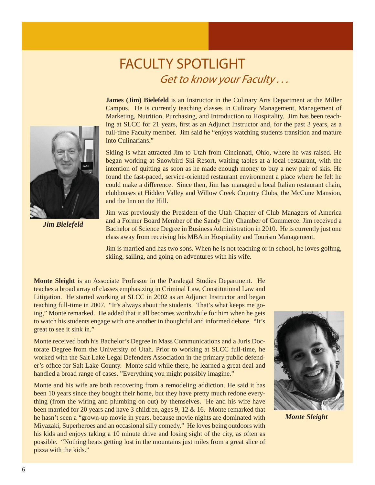## FACULTY SPOTLIGHT<br>*Get to know your Faculty...*

 *Jim Bielefeld* 

**James (Jim) Bielefeld** is an Instructor in the Culinary Arts Department at the Miller Campus. He is currently teaching classes in Culinary Management, Management of Marketing, Nutrition, Purchasing, and Introduction to Hospitality. Jim has been teaching at SLCC for 21 years, first as an Adjunct Instructor and, for the past 3 years, as a full-time Faculty member. Jim said he "enjoys watching students transition and mature into Culinarians."

Skiing is what attracted Jim to Utah from Cincinnati, Ohio, where he was raised. He began working at Snowbird Ski Resort, waiting tables at a local restaurant, with the intention of quitting as soon as he made enough money to buy a new pair of skis. He found the fast-paced, service-oriented restaurant environment a place where he felt he could make a difference. Since then, Jim has managed a local Italian restaurant chain, clubhouses at Hidden Valley and Willow Creek Country Clubs, the McCune Mansion, and the Inn on the Hill.

Jim was previously the President of the Utah Chapter of Club Managers of America and a Former Board Member of the Sandy City Chamber of Commerce. Jim received a Bachelor of Science Degree in Business Administration in 2010. He is currently just one class away from receiving his MBA in Hospitality and Tourism Management.

Jim is married and has two sons. When he is not teaching or in school, he loves golfing, skiing, sailing, and going on adventures with his wife.

**Monte Sleight** is an Associate Professor in the Paralegal Studies Department. He teaches a broad array of classes emphasizing in Criminal Law, Constitutional Law and Litigation. He started working at SLCC in 2002 as an Adjunct Instructor and began teaching full-time in 2007. "It's always about the students. That's what keeps me going," Monte remarked. He added that it all becomes worthwhile for him when he gets to watch his students engage with one another in thoughtful and informed debate. "It's great to see it sink in."

Monte received both his Bachelor's Degree in Mass Communications and a Juris Doctorate Degree from the University of Utah. Prior to working at SLCC full-time, he worked with the Salt Lake Legal Defenders Association in the primary public defender's office for Salt Lake County. Monte said while there, he learned a great deal and handled a broad range of cases. "Everything you might possibly imagine."

Monte and his wife are both recovering from a remodeling addiction. He said it has been 10 years since they bought their home, but they have pretty much redone everything (from the wiring and plumbing on out) by themselves. He and his wife have been married for 20 years and have 3 children, ages 9, 12  $\&$  16. Monte remarked that he hasn't seen a "grown-up movie in years, because movie nights are dominated with Miyazaki, Superheroes and an occasional silly comedy." He loves being outdoors with his kids and enjoys taking a 10 minute drive and losing sight of the city, as often as possible. "Nothing beats getting lost in the mountains just miles from a great slice of pizza with the kids."



 *Monte Sleight*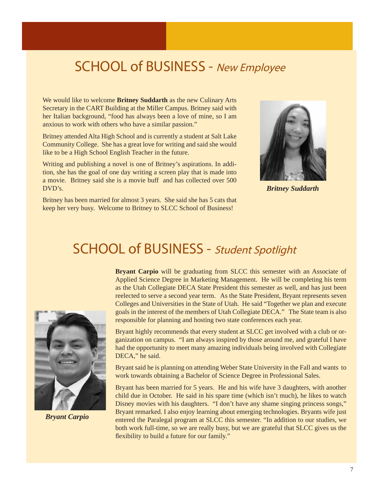## SCHOOL of BUSINESS - New Employee

We would like to welcome **Britney Suddarth** as the new Culinary Arts Secretary in the CART Building at the Miller Campus. Britney said with her Italian background, "food has always been a love of mine, so I am anxious to work with others who have a similar passion."

Britney attended Alta High School and is currently a student at Salt Lake Community College. She has a great love for writing and said she would like to be a High School English Teacher in the future.

Writing and publishing a novel is one of Britney's aspirations. In addition, she has the goal of one day writing a screen play that is made into a movie. Britney said she is a movie buff and has collected over 500 DVD's.

Britney has been married for almost 3 years. She said she has 5 cats that keep her very busy. Welcome to Britney to SLCC School of Business!



 *Britney Suddarth*

## SCHOOL of BUSINESS - Student Spotlight



 *Bryant Carpio*

**Bryant Carpio** will be graduating from SLCC this semester with an Associate of Applied Science Degree in Marketing Management. He will be completing his term as the Utah Collegiate DECA State President this semester as well, and has just been reelected to serve a second year term. As the State President, Bryant represents seven Colleges and Universities in the State of Utah. He said "Together we plan and execute goals in the interest of the members of Utah Collegiate DECA." The State team is also responsible for planning and hosting two state conferences each year.

Bryant highly recommends that every student at SLCC get involved with a club or organization on campus. "I am always inspired by those around me, and grateful I have had the opportunity to meet many amazing individuals being involved with Collegiate DECA," he said.

Bryant said he is planning on attending Weber State University in the Fall and wants to work towards obtaining a Bachelor of Science Degree in Professional Sales.

Bryant has been married for 5 years. He and his wife have 3 daughters, with another child due in October. He said in his spare time (which isn't much), he likes to watch Disney movies with his daughters. "I don't have any shame singing princess songs," Bryant remarked. I also enjoy learning about emerging technologies. Bryants wife just entered the Paralegal program at SLCC this semester. "In addition to our studies, we both work full-time, so we are really busy, but we are grateful that SLCC gives us the flexibility to build a future for our family."